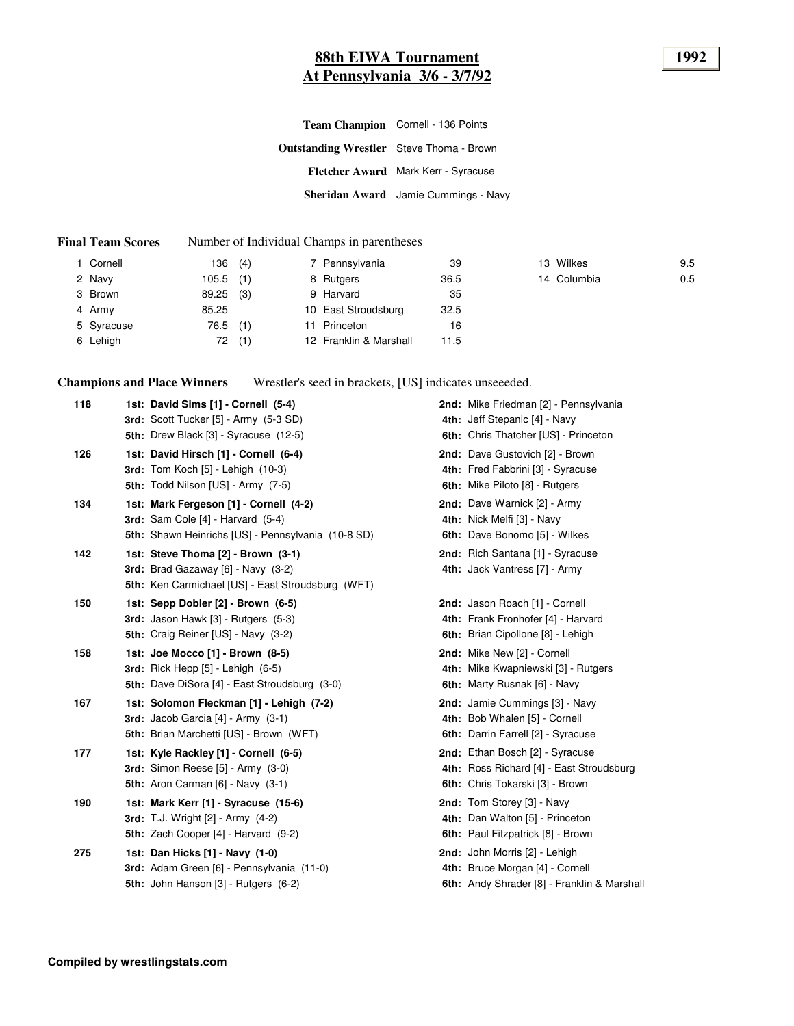#### **88th EIWA Tournament 1992 At Pennsylvania 3/6 - 3/7/92**

|                                                 | Team Champion Cornell - 136 Points   |
|-------------------------------------------------|--------------------------------------|
| <b>Outstanding Wrestler</b> Steve Thoma - Brown |                                      |
|                                                 | Fletcher Award Mark Kerr - Syracuse  |
|                                                 | Sheridan Award Jamie Cummings - Navy |

#### **Final Team Scores** Number of Individual Champs in parentheses

| Cornell    | 136   | (4) |           | 7 Pennsylvania         | 39   | 13 Wilkes   | 9.5 |
|------------|-------|-----|-----------|------------------------|------|-------------|-----|
| 2 Navy     | 105.5 | (1) | 8 Rutgers |                        | 36.5 | 14 Columbia | 0.5 |
| 3 Brown    | 89.25 | (3) | 9 Harvard |                        | 35   |             |     |
| 4 Army     | 85.25 |     |           | 10 East Stroudsburg    | 32.5 |             |     |
| 5 Syracuse | 76.5  | (1) |           | Princeton              | 16   |             |     |
| 6 Lehigh   | 72    | (1) |           | 12 Franklin & Marshall | 11.5 |             |     |

**Champions and Place Winners** Wrestler's seed in brackets, [US] indicates unseeeded.

| 118 | 1st: David Sims [1] - Cornell (5-4)<br><b>3rd:</b> Scott Tucker [5] - Army (5-3 SD)<br>5th: Drew Black [3] - Syracuse (12-5)                 | 2nd: Mike Friedman [2] - Pennsylvania<br>4th: Jeff Stepanic [4] - Navy<br>6th: Chris Thatcher [US] - Princeton        |
|-----|----------------------------------------------------------------------------------------------------------------------------------------------|-----------------------------------------------------------------------------------------------------------------------|
| 126 | 1st: David Hirsch [1] - Cornell (6-4)<br><b>3rd:</b> Tom Koch [5] - Lehigh (10-3)<br><b>5th:</b> Todd Nilson [US] - Army (7-5)               | <b>2nd:</b> Dave Gustovich [2] - Brown<br>4th: Fred Fabbrini [3] - Syracuse<br>6th: Mike Piloto [8] - Rutgers         |
| 134 | 1st: Mark Fergeson [1] - Cornell (4-2)<br>3rd: Sam Cole $[4]$ - Harvard $(5-4)$<br><b>5th:</b> Shawn Heinrichs [US] - Pennsylvania (10-8 SD) | 2nd: Dave Warnick [2] - Army<br>4th: Nick Melfi [3] - Navy<br>6th: Dave Bonomo [5] - Wilkes                           |
| 142 | 1st: Steve Thoma [2] - Brown (3-1)<br><b>3rd:</b> Brad Gazaway $[6]$ - Navy $(3-2)$<br>5th: Ken Carmichael [US] - East Stroudsburg (WFT)     | 2nd: Rich Santana [1] - Syracuse<br>4th: Jack Vantress [7] - Army                                                     |
| 150 | 1st: Sepp Dobler [2] - Brown (6-5)<br><b>3rd:</b> Jason Hawk $[3]$ - Rutgers $(5-3)$<br>5th: Craig Reiner [US] - Navy (3-2)                  | 2nd: Jason Roach [1] - Cornell<br>4th: Frank Fronhofer [4] - Harvard<br>6th: Brian Cipollone [8] - Lehigh             |
| 158 | 1st: Joe Mocco [1] - Brown (8-5)<br><b>3rd:</b> Rick Hepp $[5]$ - Lehigh $(6-5)$<br><b>5th:</b> Dave DiSora [4] - East Stroudsburg (3-0)     | 2nd: Mike New [2] - Cornell<br>4th: Mike Kwapniewski [3] - Rutgers<br>6th: Marty Rusnak [6] - Navy                    |
| 167 | 1st: Solomon Fleckman [1] - Lehigh (7-2)<br><b>3rd:</b> Jacob Garcia $[4]$ - Army $(3-1)$<br>5th: Brian Marchetti [US] - Brown (WFT)         | 2nd: Jamie Cummings [3] - Navy<br>4th: Bob Whalen [5] - Cornell<br><b>6th:</b> Darrin Farrell [2] - Syracuse          |
| 177 | 1st: Kyle Rackley [1] - Cornell (6-5)<br><b>3rd:</b> Simon Reese [5] - Army (3-0)<br>5th: Aron Carman $[6]$ - Navy $(3-1)$                   | <b>2nd:</b> Ethan Bosch [2] - Syracuse<br>4th: Ross Richard [4] - East Stroudsburg<br>6th: Chris Tokarski [3] - Brown |
| 190 | 1st: Mark Kerr [1] - Syracuse (15-6)<br><b>3rd:</b> T.J. Wright [2] - Army (4-2)<br>5th: Zach Cooper [4] - Harvard (9-2)                     | 2nd: Tom Storey [3] - Navy<br>4th: Dan Walton [5] - Princeton<br>6th: Paul Fitzpatrick [8] - Brown                    |
| 275 | 1st: Dan Hicks [1] - Navy (1-0)<br><b>3rd:</b> Adam Green [6] - Pennsylvania (11-0)<br>5th: John Hanson [3] - Rutgers (6-2)                  | 2nd: John Morris [2] - Lehigh<br>4th: Bruce Morgan [4] - Cornell<br>6th: Andy Shrader [8] - Franklin & Marshall       |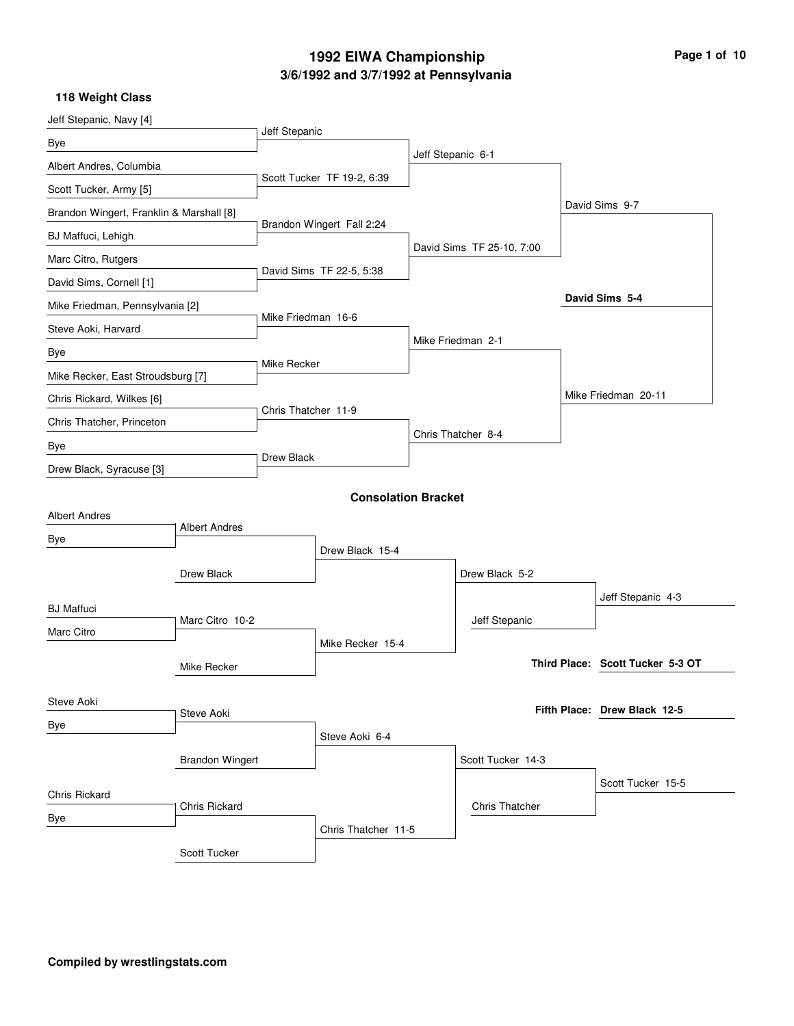# **3/6/1992 and 3/7/1992 at Pennsylvania 1992 EIWA Championship Page 1 of 10**

| Jeff Stepanic, Navy [4]                  |                        |                     |                            |                   |                           |                                  |
|------------------------------------------|------------------------|---------------------|----------------------------|-------------------|---------------------------|----------------------------------|
| Bye                                      |                        | Jeff Stepanic       |                            |                   |                           |                                  |
| Albert Andres, Columbia                  |                        |                     |                            | Jeff Stepanic 6-1 |                           |                                  |
| Scott Tucker, Army [5]                   |                        |                     | Scott Tucker TF 19-2, 6:39 |                   |                           |                                  |
| Brandon Wingert, Franklin & Marshall [8] |                        |                     |                            |                   |                           | David Sims 9-7                   |
| BJ Maffuci, Lehigh                       |                        |                     | Brandon Wingert Fall 2:24  |                   |                           |                                  |
| Marc Citro, Rutgers                      |                        |                     |                            |                   | David Sims TF 25-10, 7:00 |                                  |
| David Sims, Cornell [1]                  |                        |                     | David Sims TF 22-5, 5:38   |                   |                           |                                  |
|                                          |                        |                     |                            |                   |                           | David Sims 5-4                   |
| Mike Friedman, Pennsylvania [2]          |                        | Mike Friedman 16-6  |                            |                   |                           |                                  |
| Steve Aoki, Harvard                      |                        |                     |                            |                   | Mike Friedman 2-1         |                                  |
| Bye                                      |                        | Mike Recker         |                            |                   |                           |                                  |
| Mike Recker, East Stroudsburg [7]        |                        |                     |                            |                   |                           |                                  |
| Chris Rickard, Wilkes [6]                |                        | Chris Thatcher 11-9 |                            |                   |                           | Mike Friedman 20-11              |
| Chris Thatcher, Princeton                |                        |                     |                            |                   | Chris Thatcher 8-4        |                                  |
| Bye                                      |                        | Drew Black          |                            |                   |                           |                                  |
| Drew Black, Syracuse [3]                 |                        |                     |                            |                   |                           |                                  |
|                                          |                        |                     | <b>Consolation Bracket</b> |                   |                           |                                  |
| <b>Albert Andres</b>                     |                        |                     |                            |                   |                           |                                  |
| Bye                                      | <b>Albert Andres</b>   |                     |                            |                   |                           |                                  |
|                                          |                        |                     | Drew Black 15-4            |                   |                           |                                  |
|                                          | Drew Black             |                     |                            |                   | Drew Black 5-2            |                                  |
| <b>BJ</b> Maffuci                        |                        |                     |                            |                   |                           | Jeff Stepanic 4-3                |
| Marc Citro                               | Marc Citro 10-2        |                     |                            |                   | Jeff Stepanic             |                                  |
|                                          |                        |                     | Mike Recker 15-4           |                   |                           |                                  |
|                                          | Mike Recker            |                     |                            |                   |                           | Third Place: Scott Tucker 5-3 OT |
|                                          |                        |                     |                            |                   |                           |                                  |
| Steve Aoki                               | Steve Aoki             |                     |                            |                   |                           | Fifth Place: Drew Black 12-5     |
| Bye                                      |                        |                     | Steve Aoki 6-4             |                   |                           |                                  |
|                                          | <b>Brandon Wingert</b> |                     |                            |                   | Scott Tucker 14-3         |                                  |
|                                          |                        |                     |                            |                   |                           | Scott Tucker 15-5                |
| Chris Rickard                            | Chris Rickard          |                     |                            |                   | <b>Chris Thatcher</b>     |                                  |
| Bye                                      |                        |                     | Chris Thatcher 11-5        |                   |                           |                                  |
|                                          | Scott Tucker           |                     |                            |                   |                           |                                  |
|                                          |                        |                     |                            |                   |                           |                                  |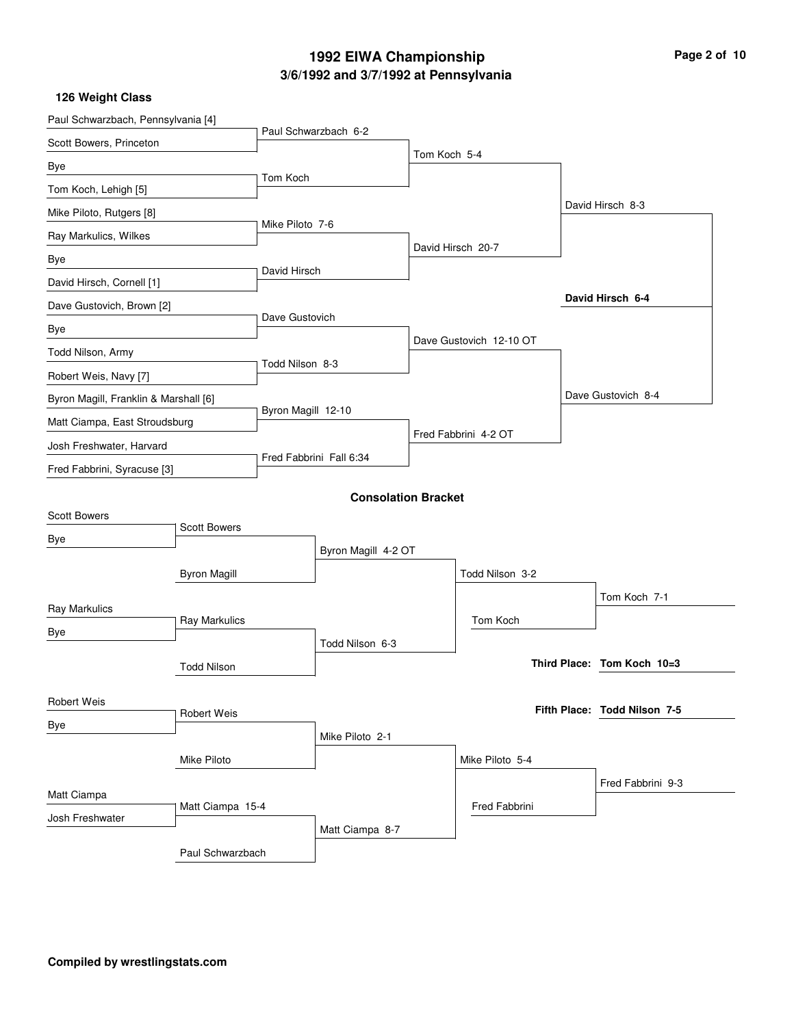# **3/6/1992 and 3/7/1992 at Pennsylvania 1992 EIWA Championship Page 2 of 10**

| Paul Schwarzbach, Pennsylvania [4]    |                     |                    |                            |              |                         |                              |  |
|---------------------------------------|---------------------|--------------------|----------------------------|--------------|-------------------------|------------------------------|--|
| Scott Bowers, Princeton               |                     |                    | Paul Schwarzbach 6-2       |              |                         |                              |  |
| Bye                                   |                     |                    |                            | Tom Koch 5-4 |                         |                              |  |
| Tom Koch, Lehigh [5]                  |                     | Tom Koch           |                            |              |                         |                              |  |
| Mike Piloto, Rutgers [8]              |                     |                    |                            |              |                         | David Hirsch 8-3             |  |
| Ray Markulics, Wilkes                 |                     | Mike Piloto 7-6    |                            |              |                         |                              |  |
| Bye                                   |                     |                    |                            |              | David Hirsch 20-7       |                              |  |
| David Hirsch, Cornell [1]             |                     | David Hirsch       |                            |              |                         |                              |  |
| Dave Gustovich, Brown [2]             |                     | Dave Gustovich     |                            |              |                         | David Hirsch 6-4             |  |
| Bye                                   |                     |                    |                            |              | Dave Gustovich 12-10 OT |                              |  |
| Todd Nilson, Army                     |                     | Todd Nilson 8-3    |                            |              |                         |                              |  |
| Robert Weis, Navy [7]                 |                     |                    |                            |              |                         |                              |  |
| Byron Magill, Franklin & Marshall [6] |                     | Byron Magill 12-10 |                            |              |                         | Dave Gustovich 8-4           |  |
| Matt Ciampa, East Stroudsburg         |                     |                    |                            |              | Fred Fabbrini 4-2 OT    |                              |  |
| Josh Freshwater, Harvard              |                     |                    | Fred Fabbrini Fall 6:34    |              |                         |                              |  |
| Fred Fabbrini, Syracuse [3]           |                     |                    |                            |              |                         |                              |  |
|                                       |                     |                    | <b>Consolation Bracket</b> |              |                         |                              |  |
| <b>Scott Bowers</b>                   | <b>Scott Bowers</b> |                    |                            |              |                         |                              |  |
| Bye                                   |                     |                    | Byron Magill 4-2 OT        |              |                         |                              |  |
|                                       | <b>Byron Magill</b> |                    |                            |              | Todd Nilson 3-2         |                              |  |
|                                       |                     |                    |                            |              |                         | Tom Koch 7-1                 |  |
| Ray Markulics                         | Ray Markulics       |                    |                            |              | Tom Koch                |                              |  |
| Bye                                   |                     |                    | Todd Nilson 6-3            |              |                         |                              |  |
|                                       | <b>Todd Nilson</b>  |                    |                            |              |                         | Third Place: Tom Koch 10=3   |  |
|                                       |                     |                    |                            |              |                         |                              |  |
| Robert Weis                           | Robert Weis         |                    |                            |              |                         | Fifth Place: Todd Nilson 7-5 |  |
| Bye                                   |                     |                    | Mike Piloto 2-1            |              |                         |                              |  |
|                                       | Mike Piloto         |                    |                            |              | Mike Piloto 5-4         |                              |  |
|                                       |                     |                    |                            |              |                         | Fred Fabbrini 9-3            |  |
| Matt Ciampa                           | Matt Ciampa 15-4    |                    |                            |              | Fred Fabbrini           |                              |  |
| Josh Freshwater                       |                     |                    | Matt Ciampa 8-7            |              |                         |                              |  |
|                                       | Paul Schwarzbach    |                    |                            |              |                         |                              |  |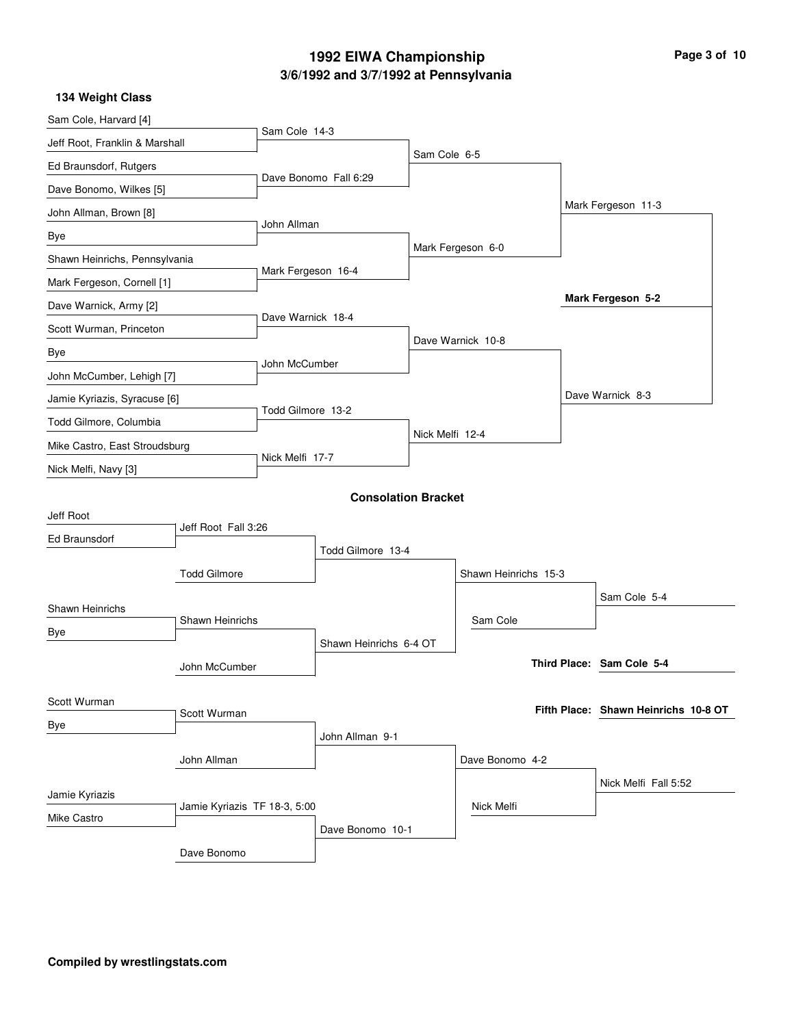#### **3/6/1992 and 3/7/1992 at Pennsylvania 1992 EIWA Championship**

|  | Page 3 of 10 |  |  |  |
|--|--------------|--|--|--|
|--|--------------|--|--|--|

| 134 Weight Class               |                              |                    |                            |                 |                      |                                      |  |
|--------------------------------|------------------------------|--------------------|----------------------------|-----------------|----------------------|--------------------------------------|--|
| Sam Cole, Harvard [4]          |                              |                    |                            |                 |                      |                                      |  |
| Jeff Root, Franklin & Marshall |                              | Sam Cole 14-3      |                            |                 |                      |                                      |  |
| Ed Braunsdorf, Rutgers         |                              |                    |                            | Sam Cole 6-5    |                      |                                      |  |
| Dave Bonomo, Wilkes [5]        |                              |                    | Dave Bonomo Fall 6:29      |                 |                      |                                      |  |
| John Allman, Brown [8]         |                              |                    |                            |                 |                      | Mark Fergeson 11-3                   |  |
| Bye                            |                              | John Allman        |                            |                 |                      |                                      |  |
| Shawn Heinrichs, Pennsylvania  |                              |                    |                            |                 | Mark Fergeson 6-0    |                                      |  |
| Mark Fergeson, Cornell [1]     |                              | Mark Fergeson 16-4 |                            |                 |                      |                                      |  |
| Dave Warnick, Army [2]         |                              |                    |                            |                 |                      | Mark Fergeson 5-2                    |  |
| Scott Wurman, Princeton        |                              | Dave Warnick 18-4  |                            |                 |                      |                                      |  |
| Bye                            |                              |                    |                            |                 | Dave Warnick 10-8    |                                      |  |
| John McCumber, Lehigh [7]      |                              | John McCumber      |                            |                 |                      |                                      |  |
| Jamie Kyriazis, Syracuse [6]   |                              |                    |                            |                 |                      | Dave Warnick 8-3                     |  |
| Todd Gilmore, Columbia         |                              | Todd Gilmore 13-2  |                            |                 |                      |                                      |  |
| Mike Castro, East Stroudsburg  |                              |                    |                            | Nick Melfi 12-4 |                      |                                      |  |
| Nick Melfi, Navy [3]           |                              | Nick Melfi 17-7    |                            |                 |                      |                                      |  |
|                                |                              |                    | <b>Consolation Bracket</b> |                 |                      |                                      |  |
| Jeff Root                      |                              |                    |                            |                 |                      |                                      |  |
| Ed Braunsdorf                  | Jeff Root Fall 3:26          |                    |                            |                 |                      |                                      |  |
|                                |                              |                    | Todd Gilmore 13-4          |                 |                      |                                      |  |
|                                | <b>Todd Gilmore</b>          |                    |                            |                 | Shawn Heinrichs 15-3 |                                      |  |
| Shawn Heinrichs                |                              |                    |                            |                 |                      | Sam Cole 5-4                         |  |
| Bye                            | Shawn Heinrichs              |                    |                            |                 | Sam Cole             |                                      |  |
|                                |                              |                    | Shawn Heinrichs 6-4 OT     |                 |                      | Third Place: Sam Cole 5-4            |  |
|                                | John McCumber                |                    |                            |                 |                      |                                      |  |
| Scott Wurman                   |                              |                    |                            |                 |                      | Fifth Place: Shawn Heinrichs 10-8 OT |  |
| Bye                            | Scott Wurman                 |                    |                            |                 |                      |                                      |  |
|                                |                              |                    | John Allman 9-1            |                 |                      |                                      |  |
|                                | John Allman                  |                    |                            |                 | Dave Bonomo 4-2      |                                      |  |
| Jamie Kyriazis                 |                              |                    |                            |                 |                      | Nick Melfi Fall 5:52                 |  |
| Mike Castro                    | Jamie Kyriazis TF 18-3, 5:00 |                    |                            |                 | Nick Melfi           |                                      |  |
|                                |                              |                    | Dave Bonomo 10-1           |                 |                      |                                      |  |
|                                | Dave Bonomo                  |                    |                            |                 |                      |                                      |  |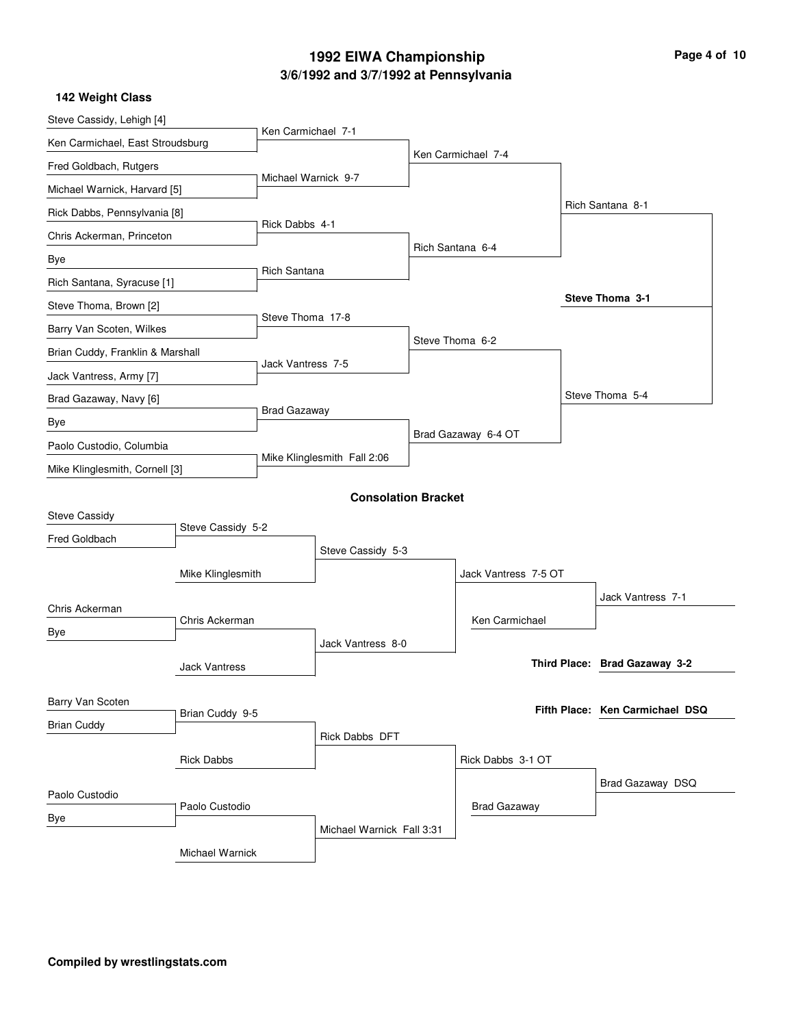#### **3/6/1992 and 3/7/1992 at Pennsylvania 1992 EIWA Championship**

| Page 4 of 10 |  |  |
|--------------|--|--|
|              |  |  |

| Steve Cassidy, Lehigh [4]        |                      |                     |                             |                  |                      |                                 |
|----------------------------------|----------------------|---------------------|-----------------------------|------------------|----------------------|---------------------------------|
| Ken Carmichael, East Stroudsburg |                      | Ken Carmichael 7-1  |                             |                  |                      |                                 |
| Fred Goldbach, Rutgers           |                      |                     |                             |                  | Ken Carmichael 7-4   |                                 |
| Michael Warnick, Harvard [5]     |                      | Michael Warnick 9-7 |                             |                  |                      |                                 |
| Rick Dabbs, Pennsylvania [8]     |                      |                     |                             |                  |                      | Rich Santana 8-1                |
| Chris Ackerman, Princeton        |                      | Rick Dabbs 4-1      |                             |                  |                      |                                 |
| Bye                              |                      |                     |                             | Rich Santana 6-4 |                      |                                 |
| Rich Santana, Syracuse [1]       |                      | <b>Rich Santana</b> |                             |                  |                      |                                 |
| Steve Thoma, Brown [2]           |                      |                     |                             |                  |                      | Steve Thoma 3-1                 |
| Barry Van Scoten, Wilkes         |                      | Steve Thoma 17-8    |                             |                  |                      |                                 |
| Brian Cuddy, Franklin & Marshall |                      |                     |                             | Steve Thoma 6-2  |                      |                                 |
| Jack Vantress, Army [7]          |                      | Jack Vantress 7-5   |                             |                  |                      |                                 |
| Brad Gazaway, Navy [6]           |                      |                     |                             |                  |                      | Steve Thoma 5-4                 |
| Bye                              |                      | <b>Brad Gazaway</b> |                             |                  |                      |                                 |
| Paolo Custodio, Columbia         |                      |                     |                             |                  | Brad Gazaway 6-4 OT  |                                 |
| Mike Klinglesmith, Cornell [3]   |                      |                     | Mike Klinglesmith Fall 2:06 |                  |                      |                                 |
|                                  |                      |                     | <b>Consolation Bracket</b>  |                  |                      |                                 |
| Steve Cassidy                    |                      |                     |                             |                  |                      |                                 |
| Fred Goldbach                    | Steve Cassidy 5-2    |                     |                             |                  |                      |                                 |
|                                  |                      |                     | Steve Cassidy 5-3           |                  |                      |                                 |
|                                  | Mike Klinglesmith    |                     |                             |                  | Jack Vantress 7-5 OT |                                 |
| Chris Ackerman                   |                      |                     |                             |                  |                      | Jack Vantress 7-1               |
| Bye                              | Chris Ackerman       |                     |                             |                  | Ken Carmichael       |                                 |
|                                  |                      |                     | Jack Vantress 8-0           |                  |                      | Third Place: Brad Gazaway 3-2   |
|                                  | <b>Jack Vantress</b> |                     |                             |                  |                      |                                 |
| Barry Van Scoten                 |                      |                     |                             |                  |                      | Fifth Place: Ken Carmichael DSQ |
| <b>Brian Cuddy</b>               | Brian Cuddy 9-5      |                     |                             |                  |                      |                                 |
|                                  |                      |                     | Rick Dabbs DFT              |                  |                      |                                 |
|                                  | <b>Rick Dabbs</b>    |                     |                             |                  | Rick Dabbs 3-1 OT    |                                 |
| Paolo Custodio                   |                      |                     |                             |                  |                      | Brad Gazaway DSQ                |
| Bye                              | Paolo Custodio       |                     | Michael Warnick Fall 3:31   |                  | <b>Brad Gazaway</b>  |                                 |
|                                  |                      |                     |                             |                  |                      |                                 |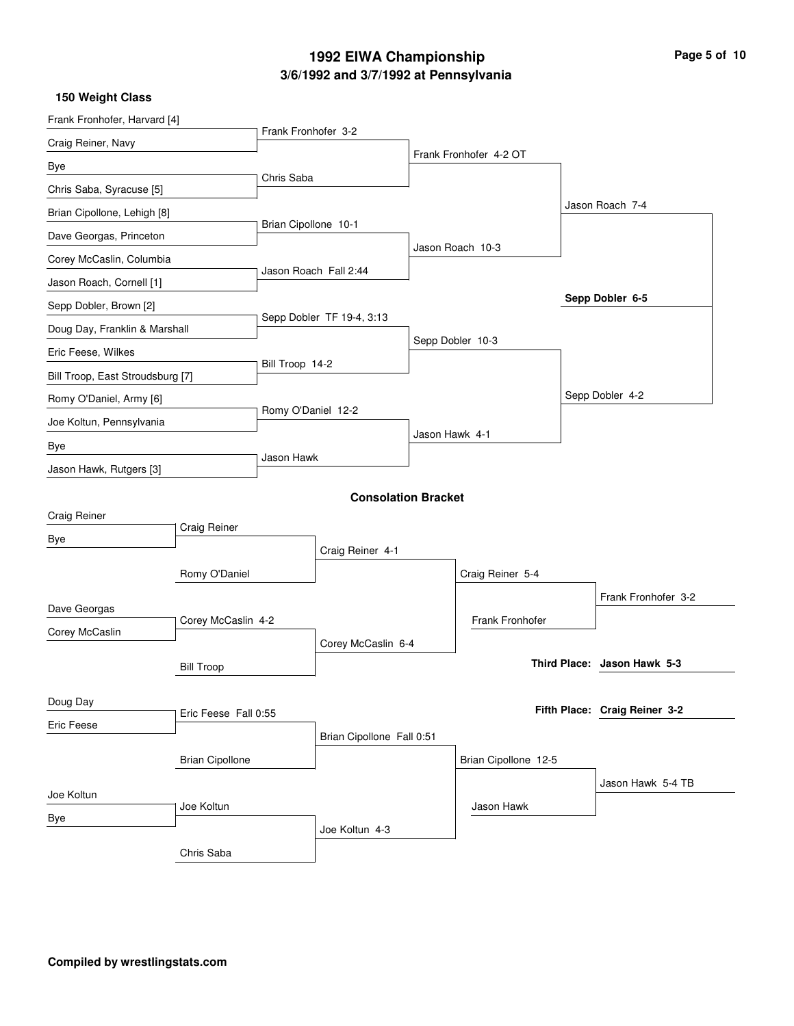# **3/6/1992 and 3/7/1992 at Pennsylvania 1992 EIWA Championship Page 5 of 10**

| Frank Fronhofer, Harvard [4]         |                      |                            |                |                        |                               |
|--------------------------------------|----------------------|----------------------------|----------------|------------------------|-------------------------------|
| Craig Reiner, Navy                   | Frank Fronhofer 3-2  |                            |                |                        |                               |
| Bye                                  |                      |                            |                | Frank Fronhofer 4-2 OT |                               |
| Chris Saba, Syracuse [5]             | Chris Saba           |                            |                |                        |                               |
| Brian Cipollone, Lehigh [8]          |                      |                            |                |                        | Jason Roach 7-4               |
| Dave Georgas, Princeton              | Brian Cipollone 10-1 |                            |                |                        |                               |
| Corey McCaslin, Columbia             |                      |                            |                | Jason Roach 10-3       |                               |
| Jason Roach, Cornell [1]             |                      | Jason Roach Fall 2:44      |                |                        |                               |
| Sepp Dobler, Brown [2]               |                      |                            |                |                        | Sepp Dobler 6-5               |
| Doug Day, Franklin & Marshall        |                      | Sepp Dobler TF 19-4, 3:13  |                |                        |                               |
| Eric Feese, Wilkes                   |                      |                            |                | Sepp Dobler 10-3       |                               |
| Bill Troop, East Stroudsburg [7]     | Bill Troop 14-2      |                            |                |                        |                               |
| Romy O'Daniel, Army [6]              |                      |                            |                |                        | Sepp Dobler 4-2               |
| Joe Koltun, Pennsylvania             | Romy O'Daniel 12-2   |                            |                |                        |                               |
| Bye                                  | Jason Hawk           |                            | Jason Hawk 4-1 |                        |                               |
| Jason Hawk, Rutgers [3]              |                      |                            |                |                        |                               |
|                                      |                      | <b>Consolation Bracket</b> |                |                        |                               |
| Craig Reiner                         |                      |                            |                |                        |                               |
| Craig Reiner<br>Bye                  |                      |                            |                |                        |                               |
|                                      |                      | Craig Reiner 4-1           |                |                        |                               |
| Romy O'Daniel                        |                      |                            |                | Craig Reiner 5-4       |                               |
| Dave Georgas                         |                      |                            |                | Frank Fronhofer        | Frank Fronhofer 3-2           |
| Corey McCaslin 4-2<br>Corey McCaslin |                      | Corey McCaslin 6-4         |                |                        |                               |
| <b>Bill Troop</b>                    |                      |                            |                |                        | Third Place: Jason Hawk 5-3   |
|                                      |                      |                            |                |                        |                               |
| Doug Day<br>Eric Feese Fall 0:55     |                      |                            |                |                        | Fifth Place: Craig Reiner 3-2 |
| Eric Feese                           |                      | Brian Cipollone Fall 0:51  |                |                        |                               |
| <b>Brian Cipollone</b>               |                      |                            |                | Brian Cipollone 12-5   |                               |
|                                      |                      |                            |                |                        | Jason Hawk 5-4 TB             |
| Joe Koltun<br>Joe Koltun             |                      |                            |                | Jason Hawk             |                               |
| Bye                                  |                      | Joe Koltun 4-3             |                |                        |                               |
| Chris Saba                           |                      |                            |                |                        |                               |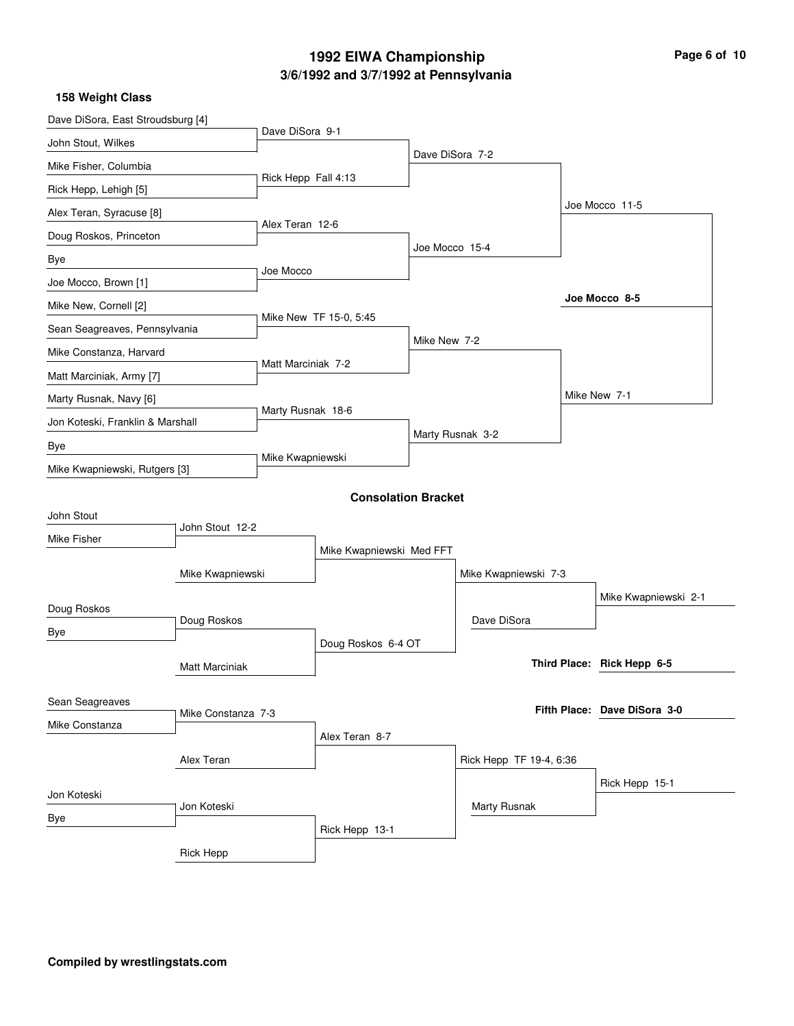# **3/6/1992 and 3/7/1992 at Pennsylvania 1992 EIWA Championship Page 6 of 10**

|  |  |  |  | 158 Weight Class |
|--|--|--|--|------------------|
|--|--|--|--|------------------|

| Dave DiSora, East Stroudsburg [4] |                    |                     |                            |                 |                         |                              |
|-----------------------------------|--------------------|---------------------|----------------------------|-----------------|-------------------------|------------------------------|
| John Stout, Wilkes                |                    | Dave DiSora 9-1     |                            |                 |                         |                              |
| Mike Fisher, Columbia             |                    |                     |                            | Dave DiSora 7-2 |                         |                              |
| Rick Hepp, Lehigh [5]             |                    | Rick Hepp Fall 4:13 |                            |                 |                         |                              |
| Alex Teran, Syracuse [8]          |                    |                     |                            |                 |                         | Joe Mocco 11-5               |
| Doug Roskos, Princeton            |                    | Alex Teran 12-6     |                            |                 |                         |                              |
| Bye                               |                    |                     |                            | Joe Mocco 15-4  |                         |                              |
| Joe Mocco, Brown [1]              |                    | Joe Mocco           |                            |                 |                         |                              |
| Mike New, Cornell [2]             |                    |                     |                            |                 |                         | Joe Mocco 8-5                |
| Sean Seagreaves, Pennsylvania     |                    |                     | Mike New TF 15-0, 5:45     |                 |                         |                              |
| Mike Constanza, Harvard           |                    |                     |                            | Mike New 7-2    |                         |                              |
| Matt Marciniak, Army [7]          |                    | Matt Marciniak 7-2  |                            |                 |                         |                              |
| Marty Rusnak, Navy [6]            |                    |                     |                            |                 |                         | Mike New 7-1                 |
| Jon Koteski, Franklin & Marshall  |                    | Marty Rusnak 18-6   |                            |                 |                         |                              |
| Bye                               |                    |                     |                            |                 | Marty Rusnak 3-2        |                              |
| Mike Kwapniewski, Rutgers [3]     |                    | Mike Kwapniewski    |                            |                 |                         |                              |
|                                   |                    |                     | <b>Consolation Bracket</b> |                 |                         |                              |
| John Stout                        |                    |                     |                            |                 |                         |                              |
| Mike Fisher                       | John Stout 12-2    |                     |                            |                 |                         |                              |
|                                   |                    |                     | Mike Kwapniewski Med FFT   |                 |                         |                              |
|                                   | Mike Kwapniewski   |                     |                            |                 | Mike Kwapniewski 7-3    |                              |
| Doug Roskos                       |                    |                     |                            |                 |                         | Mike Kwapniewski 2-1         |
| Bye                               | Doug Roskos        |                     |                            |                 | Dave DiSora             |                              |
|                                   |                    |                     | Doug Roskos 6-4 OT         |                 |                         | Third Place: Rick Hepp 6-5   |
|                                   | Matt Marciniak     |                     |                            |                 |                         |                              |
| Sean Seagreaves                   |                    |                     |                            |                 |                         | Fifth Place: Dave DiSora 3-0 |
| Mike Constanza                    | Mike Constanza 7-3 |                     |                            |                 |                         |                              |
|                                   |                    |                     | Alex Teran 8-7             |                 |                         |                              |
|                                   | Alex Teran         |                     |                            |                 | Rick Hepp TF 19-4, 6:36 |                              |
| Jon Koteski                       |                    |                     |                            |                 |                         | Rick Hepp 15-1               |
| Bye                               | Jon Koteski        |                     |                            |                 | Marty Rusnak            |                              |
|                                   |                    |                     | Rick Hepp 13-1             |                 |                         |                              |
|                                   | <b>Rick Hepp</b>   |                     |                            |                 |                         |                              |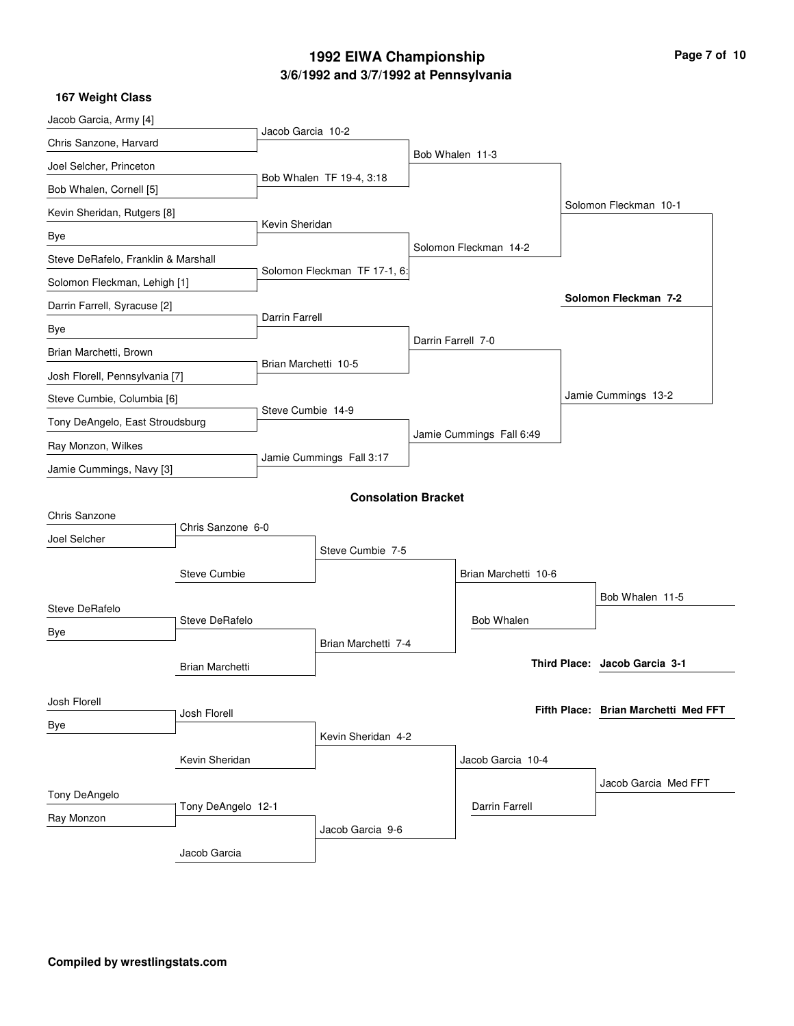# **3/6/1992 and 3/7/1992 at Pennsylvania 1992 EIWA Championship Page 7 of 10**

| 167 Weight Class                    |                     |                          |                              |                    |                          |  |                                      |
|-------------------------------------|---------------------|--------------------------|------------------------------|--------------------|--------------------------|--|--------------------------------------|
| Jacob Garcia, Army [4]              |                     | Jacob Garcia 10-2        |                              |                    |                          |  |                                      |
| Chris Sanzone, Harvard              |                     |                          |                              |                    | Bob Whalen 11-3          |  |                                      |
| Joel Selcher, Princeton             |                     |                          |                              |                    |                          |  |                                      |
| Bob Whalen, Cornell [5]             |                     | Bob Whalen TF 19-4, 3:18 |                              |                    |                          |  |                                      |
| Kevin Sheridan, Rutgers [8]         |                     |                          |                              |                    |                          |  | Solomon Fleckman 10-1                |
| Bye                                 |                     | Kevin Sheridan           |                              |                    |                          |  |                                      |
| Steve DeRafelo, Franklin & Marshall |                     |                          |                              |                    | Solomon Fleckman 14-2    |  |                                      |
| Solomon Fleckman, Lehigh [1]        |                     |                          | Solomon Fleckman TF 17-1, 6: |                    |                          |  |                                      |
| Darrin Farrell, Syracuse [2]        |                     |                          |                              |                    |                          |  | Solomon Fleckman 7-2                 |
| Bye                                 |                     | <b>Darrin Farrell</b>    |                              |                    |                          |  |                                      |
| Brian Marchetti, Brown              |                     |                          |                              | Darrin Farrell 7-0 |                          |  |                                      |
| Josh Florell, Pennsylvania [7]      |                     | Brian Marchetti 10-5     |                              |                    |                          |  |                                      |
| Steve Cumbie, Columbia [6]          |                     |                          |                              |                    |                          |  | Jamie Cummings 13-2                  |
| Tony DeAngelo, East Stroudsburg     |                     | Steve Cumbie 14-9        |                              |                    |                          |  |                                      |
| Ray Monzon, Wilkes                  |                     |                          |                              |                    | Jamie Cummings Fall 6:49 |  |                                      |
| Jamie Cummings, Navy [3]            |                     | Jamie Cummings Fall 3:17 |                              |                    |                          |  |                                      |
|                                     |                     |                          | <b>Consolation Bracket</b>   |                    |                          |  |                                      |
| Chris Sanzone                       |                     |                          |                              |                    |                          |  |                                      |
| Joel Selcher                        | Chris Sanzone 6-0   |                          |                              |                    |                          |  |                                      |
|                                     |                     |                          | Steve Cumbie 7-5             |                    |                          |  |                                      |
|                                     | <b>Steve Cumbie</b> |                          |                              |                    | Brian Marchetti 10-6     |  |                                      |
| <b>Steve DeRafelo</b>               |                     |                          |                              |                    |                          |  | Bob Whalen 11-5                      |
| Bye                                 | Steve DeRafelo      |                          |                              |                    | <b>Bob Whalen</b>        |  |                                      |
|                                     |                     |                          | Brian Marchetti 7-4          |                    |                          |  | Third Place: Jacob Garcia 3-1        |
|                                     | Brian Marchetti     |                          |                              |                    |                          |  |                                      |
| Josh Florell                        |                     |                          |                              |                    |                          |  |                                      |
| Bye                                 | Josh Florell        |                          |                              |                    |                          |  | Fifth Place: Brian Marchetti Med FFT |
|                                     |                     |                          | Kevin Sheridan 4-2           |                    |                          |  |                                      |
| Kevin Sheridan                      |                     |                          |                              | Jacob Garcia 10-4  |                          |  |                                      |
| Tony DeAngelo                       |                     |                          |                              |                    |                          |  | Jacob Garcia Med FFT                 |
| Tony DeAngelo 12-1<br>Ray Monzon    |                     |                          |                              |                    | <b>Darrin Farrell</b>    |  |                                      |
|                                     |                     |                          | Jacob Garcia 9-6             |                    |                          |  |                                      |
|                                     | Jacob Garcia        |                          |                              |                    |                          |  |                                      |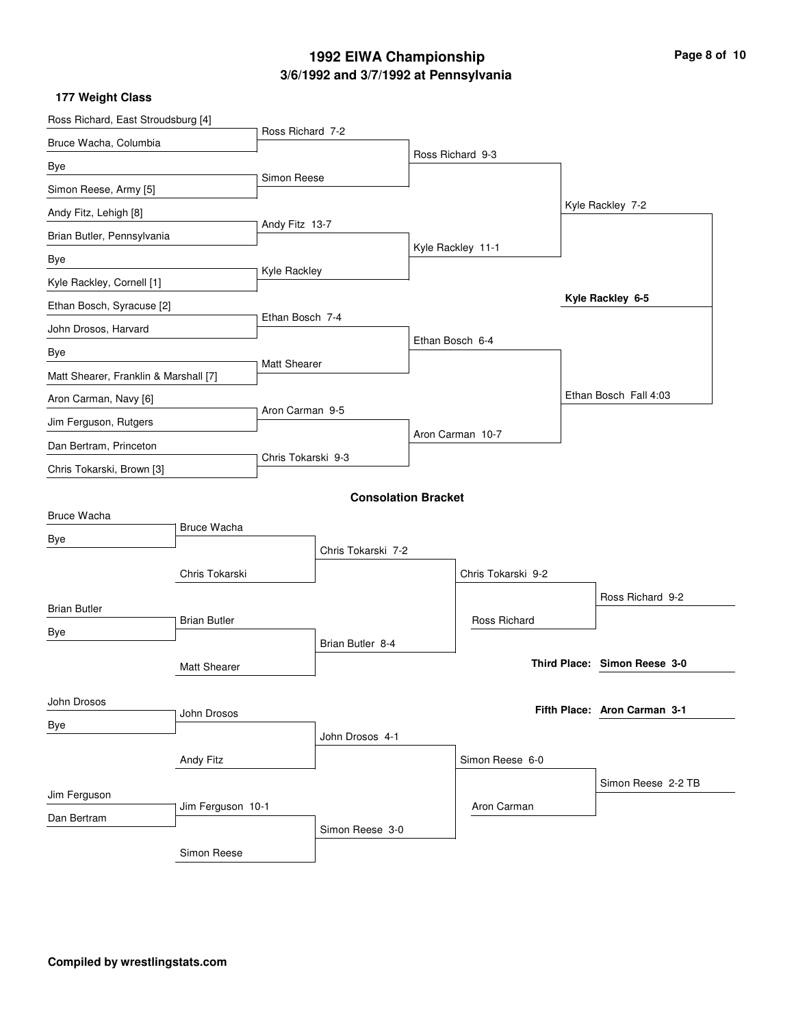# **3/6/1992 and 3/7/1992 at Pennsylvania 1992 EIWA Championship Page 8 of 10**

| Ross Richard, East Stroudsburg [4]    |                     |                    |                            |  |                     |                              |
|---------------------------------------|---------------------|--------------------|----------------------------|--|---------------------|------------------------------|
| Bruce Wacha, Columbia                 |                     | Ross Richard 7-2   |                            |  |                     |                              |
| Bye                                   |                     |                    |                            |  | Ross Richard 9-3    |                              |
| Simon Reese, Army [5]                 |                     | Simon Reese        |                            |  |                     |                              |
| Andy Fitz, Lehigh [8]                 |                     |                    |                            |  |                     | Kyle Rackley 7-2             |
| Brian Butler, Pennsylvania            |                     | Andy Fitz 13-7     |                            |  |                     |                              |
| Bye                                   |                     |                    |                            |  | Kyle Rackley 11-1   |                              |
| Kyle Rackley, Cornell [1]             |                     | Kyle Rackley       |                            |  |                     |                              |
| Ethan Bosch, Syracuse [2]             |                     |                    |                            |  |                     | Kyle Rackley 6-5             |
| John Drosos, Harvard                  |                     | Ethan Bosch 7-4    |                            |  |                     |                              |
| Bye                                   |                     |                    |                            |  | Ethan Bosch 6-4     |                              |
| Matt Shearer, Franklin & Marshall [7] |                     | Matt Shearer       |                            |  |                     |                              |
| Aron Carman, Navy [6]                 |                     |                    |                            |  |                     | Ethan Bosch Fall 4:03        |
| Jim Ferguson, Rutgers                 |                     |                    | Aron Carman 9-5            |  |                     |                              |
| Dan Bertram, Princeton                |                     |                    |                            |  | Aron Carman 10-7    |                              |
| Chris Tokarski, Brown [3]             |                     | Chris Tokarski 9-3 |                            |  |                     |                              |
|                                       |                     |                    | <b>Consolation Bracket</b> |  |                     |                              |
| Bruce Wacha                           |                     |                    |                            |  |                     |                              |
| Bye                                   | Bruce Wacha         |                    |                            |  |                     |                              |
|                                       |                     |                    | Chris Tokarski 7-2         |  |                     |                              |
|                                       | Chris Tokarski      |                    |                            |  | Chris Tokarski 9-2  |                              |
| <b>Brian Butler</b>                   |                     |                    |                            |  |                     | Ross Richard 9-2             |
| Bye                                   | <b>Brian Butler</b> |                    |                            |  | <b>Ross Richard</b> |                              |
|                                       |                     |                    | Brian Butler 8-4           |  |                     |                              |
|                                       | Matt Shearer        |                    |                            |  |                     | Third Place: Simon Reese 3-0 |
| John Drosos                           |                     |                    |                            |  |                     |                              |
| Bye                                   | John Drosos         |                    |                            |  |                     | Fifth Place: Aron Carman 3-1 |
|                                       |                     |                    | John Drosos 4-1            |  |                     |                              |
|                                       | Andy Fitz           |                    |                            |  | Simon Reese 6-0     |                              |
| Jim Ferguson                          |                     |                    |                            |  |                     | Simon Reese 2-2 TB           |
| Dan Bertram                           | Jim Ferguson 10-1   |                    |                            |  | Aron Carman         |                              |
|                                       |                     |                    | Simon Reese 3-0            |  |                     |                              |
|                                       | Simon Reese         |                    |                            |  |                     |                              |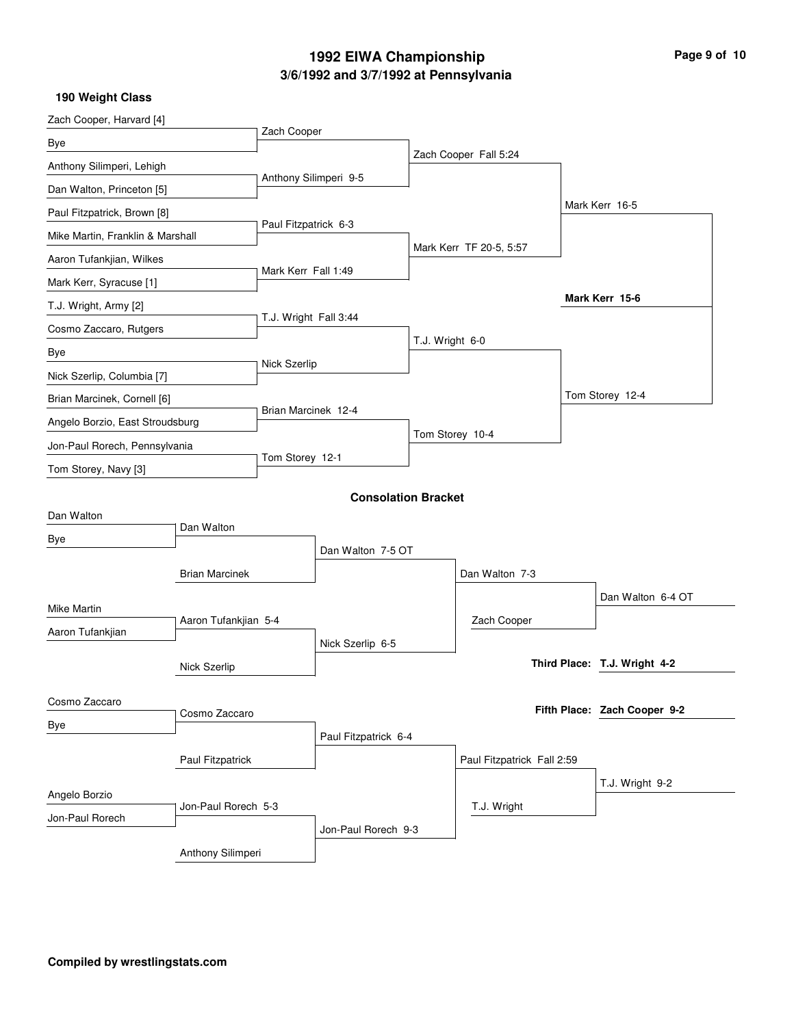# **3/6/1992 and 3/7/1992 at Pennsylvania 1992 EIWA Championship Page 9 of 10**

| Zach Cooper, Harvard [4]                   |                       |                       |                            |                 |                            |  |                              |
|--------------------------------------------|-----------------------|-----------------------|----------------------------|-----------------|----------------------------|--|------------------------------|
| Bye                                        |                       | Zach Cooper           |                            |                 |                            |  |                              |
| Anthony Silimperi, Lehigh                  |                       |                       |                            |                 | Zach Cooper Fall 5:24      |  |                              |
| Dan Walton, Princeton [5]                  |                       | Anthony Silimperi 9-5 |                            |                 |                            |  |                              |
| Paul Fitzpatrick, Brown [8]                |                       |                       |                            |                 |                            |  | Mark Kerr 16-5               |
| Mike Martin, Franklin & Marshall           |                       | Paul Fitzpatrick 6-3  |                            |                 |                            |  |                              |
| Aaron Tufankjian, Wilkes                   |                       | Mark Kerr Fall 1:49   |                            |                 | Mark Kerr TF 20-5, 5:57    |  |                              |
| Mark Kerr, Syracuse [1]                    |                       |                       |                            |                 |                            |  |                              |
| T.J. Wright, Army [2]                      |                       |                       |                            |                 |                            |  | Mark Kerr 15-6               |
| Cosmo Zaccaro, Rutgers                     |                       | T.J. Wright Fall 3:44 |                            |                 | T.J. Wright 6-0            |  |                              |
| Bye                                        |                       | Nick Szerlip          |                            |                 |                            |  |                              |
| Nick Szerlip, Columbia [7]                 |                       |                       |                            |                 |                            |  |                              |
| Brian Marcinek, Cornell [6]                |                       |                       |                            |                 |                            |  | Tom Storey 12-4              |
| Angelo Borzio, East Stroudsburg            |                       | Brian Marcinek 12-4   |                            | Tom Storey 10-4 |                            |  |                              |
| Jon-Paul Rorech, Pennsylvania              |                       | Tom Storey 12-1       |                            |                 |                            |  |                              |
| Tom Storey, Navy [3]                       |                       |                       |                            |                 |                            |  |                              |
|                                            |                       |                       | <b>Consolation Bracket</b> |                 |                            |  |                              |
| Dan Walton                                 | Dan Walton            |                       |                            |                 |                            |  |                              |
| Bye                                        |                       |                       | Dan Walton 7-5 OT          |                 |                            |  |                              |
|                                            | <b>Brian Marcinek</b> |                       |                            |                 | Dan Walton 7-3             |  |                              |
|                                            |                       |                       |                            |                 |                            |  | Dan Walton 6-4 OT            |
| <b>Mike Martin</b><br>Aaron Tufankjian 5-4 |                       |                       |                            |                 | Zach Cooper                |  |                              |
| Aaron Tufankjian                           |                       |                       | Nick Szerlip 6-5           |                 |                            |  |                              |
| Nick Szerlip                               |                       |                       |                            |                 |                            |  | Third Place: T.J. Wright 4-2 |
|                                            |                       |                       |                            |                 |                            |  |                              |
| Cosmo Zaccaro                              | Cosmo Zaccaro         |                       |                            |                 |                            |  | Fifth Place: Zach Cooper 9-2 |
| Bye                                        |                       |                       | Paul Fitzpatrick 6-4       |                 |                            |  |                              |
|                                            | Paul Fitzpatrick      |                       |                            |                 | Paul Fitzpatrick Fall 2:59 |  |                              |
|                                            |                       |                       |                            |                 |                            |  | T.J. Wright 9-2              |
| Angelo Borzio<br>Jon-Paul Rorech 5-3       |                       |                       |                            |                 | T.J. Wright                |  |                              |
| Jon-Paul Rorech                            |                       |                       | Jon-Paul Rorech 9-3        |                 |                            |  |                              |
|                                            |                       |                       |                            |                 |                            |  |                              |